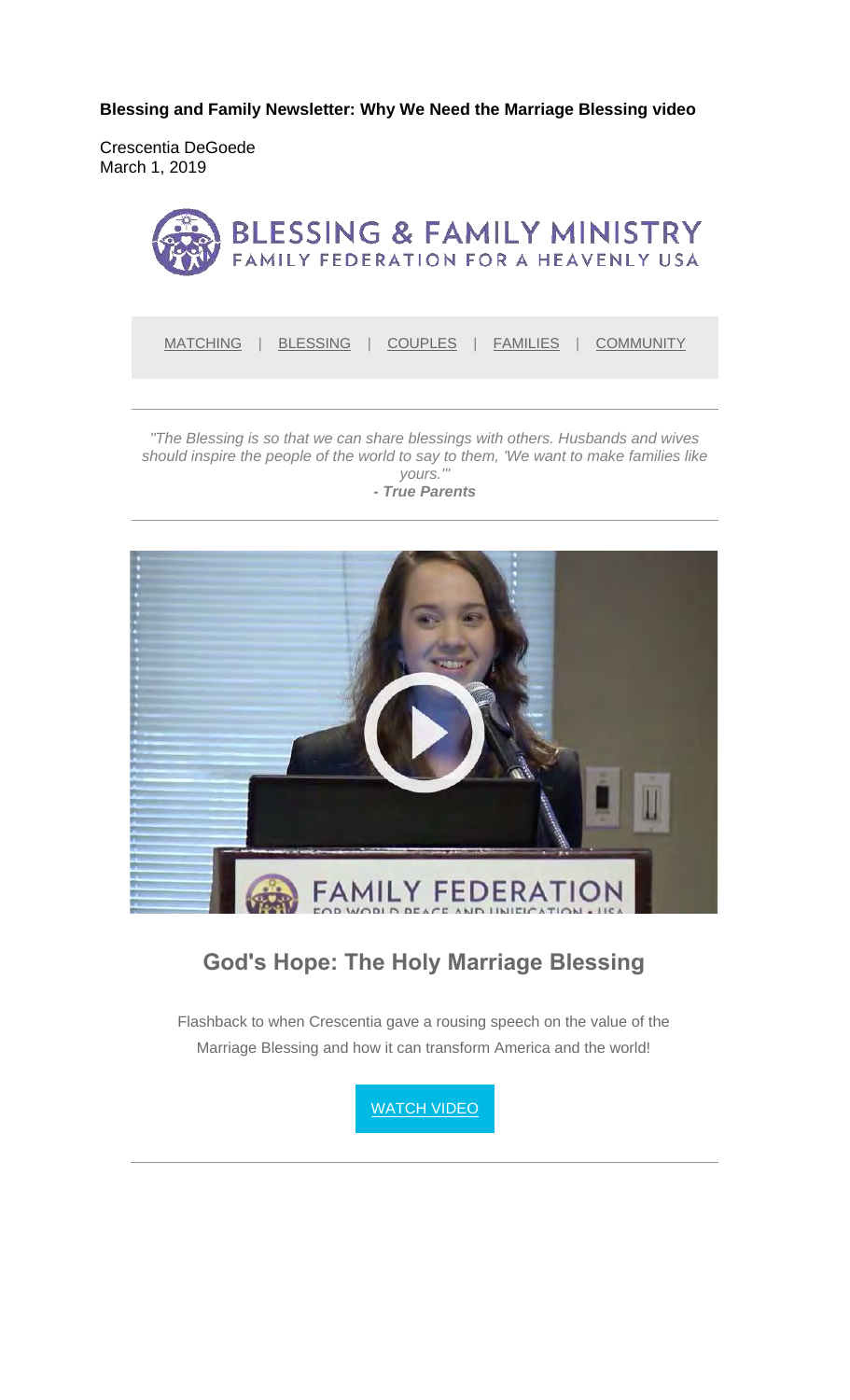**Blessing and Family Newsletter: Why We Need the Marriage Blessing video** 

Crescentia DeGoede March 1, 2019



MATCHING | BLESSING | COUPLES | FAMILIES | COMMUNITY

*"The Blessing is so that we can share blessings with others. Husbands and wives should inspire the people of the world to say to them, 'We want to make families like yours.'"*



### **God's Hope: The Holy Marriage Blessing**

Flashback to when Crescentia gave a rousing speech on the value of the Marriage Blessing and how it can transform America and the world!

**WATCH VIDEO**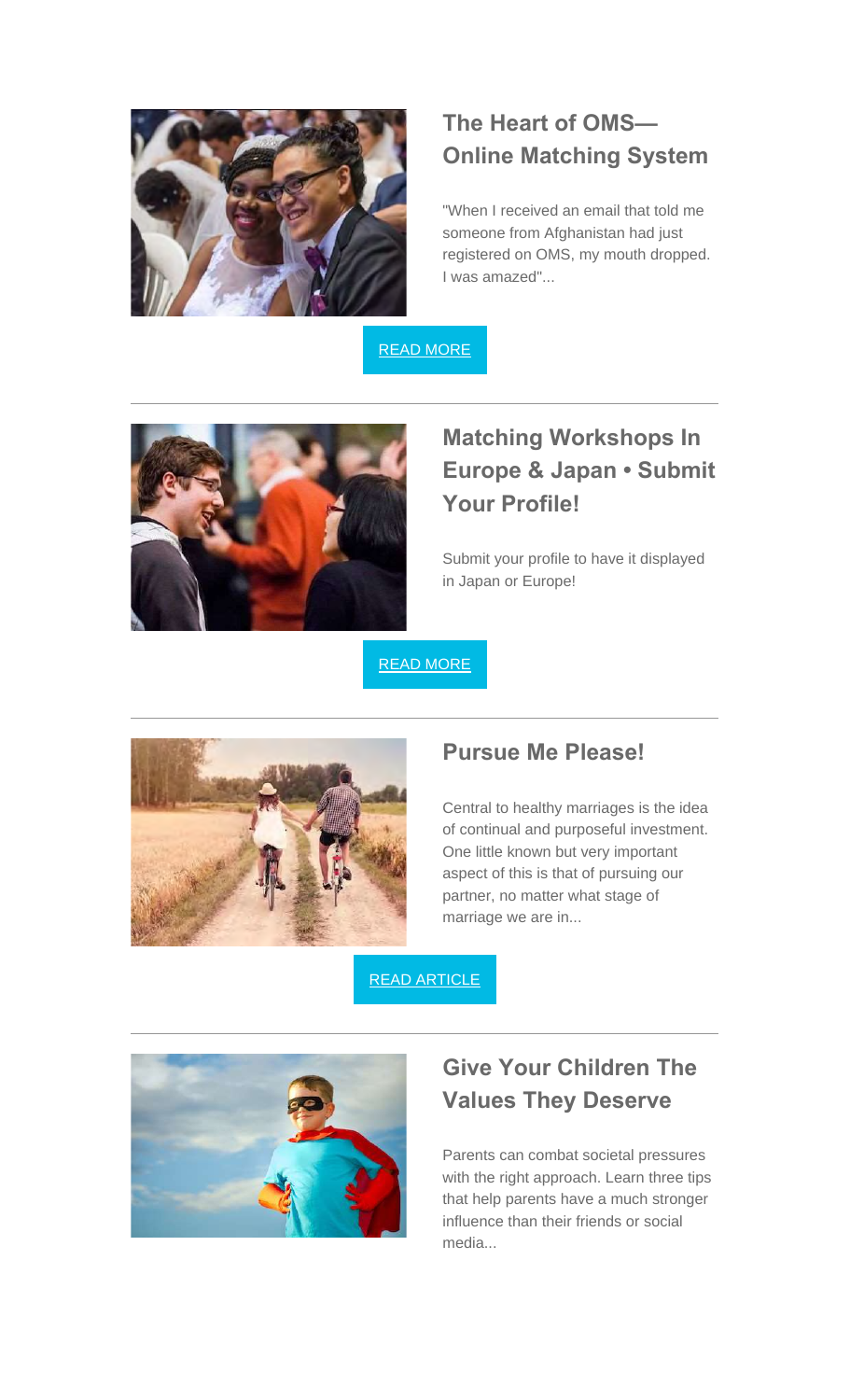

### **The Heart of OMS— Online Matching System**

"When I received an email that told me someone from Afghanistan had just registered on OMS, my mouth dropped. I was amazed"...

READ MORE



# **Matching Workshops In Europe & Japan • Submit Your Profile!**

Submit your profile to have it displayed in Japan or Europe!

READ MORE



#### **Pursue Me Please!**

Central to healthy marriages is the idea of continual and purposeful investment. One little known but very important aspect of this is that of pursuing our partner, no matter what stage of marriage we are in...

READ ARTICLE



## **Give Your Children The Values They Deserve**

Parents can combat societal pressures with the right approach. Learn three tips that help parents have a much stronger influence than their friends or social media...